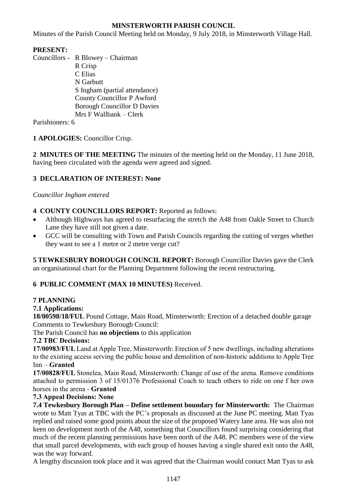## **MINSTERWORTH PARISH COUNCIL**

Minutes of the Parish Council Meeting held on Monday, 9 July 2018, in Minsterworth Village Hall.

# **PRESENT:**

Councillors - R Blowey – Chairman R Crisp C Elias N Garbutt S Ingham (partial attendance) County Councillor P Awford Borough Councillor D Davies Mrs F Wallbank – Clerk

Parishioners: 6

## **1 APOLOGIES:** Councillor Crisp.

**2 MINUTES OF THE MEETING** The minutes of the meeting held on the Monday, 11 June 2018, having been circulated with the agenda were agreed and signed.

# **3 DECLARATION OF INTEREST: None**

#### *Councillor Ingham entered*

- **4 COUNTY COUNCILLORS REPORT:** Reported as follows:
- Although Highways has agreed to resurfacing the stretch the A48 from Oakle Street to Church Lane they have still not given a date.
- GCC will be consulting with Town and Parish Councils regarding the cutting of verges whether they want to see a 1 metre or 2 metre verge cut?

**5 TEWKESBURY BOROUGH COUNCIL REPORT:** Borough Councillor Davies gave the Clerk an organisational chart for the Planning Department following the recent restructuring.

## **6 PUBLIC COMMENT (MAX 10 MINUTES)** Received.

## **7 PLANNING**

## **7.1 Applications:**

**18/00598/18/FUL** Pound Cottage, Main Road, Minsterworth: Erection of a detached double garage Comments to Tewkesbury Borough Council:

The Parish Council has **no objections** to this application

## **7.2 TBC Decisions:**

**17/00983/FUL** Land at Apple Tree, Minsterworth: Erection of 5 new dwellings, including alterations to the existing access serving the public house and demolition of non-historic additions to Apple Tree Inn – **Granted**

**17/00828/FUL** Stonelea, Main Road, Minsterworth: Change of use of the arena. Remove conditions attached to permission 3 of 15/01376 Professional Coach to teach others to ride on one f her own horses in the arena - **Granted**

## **7.3 Appeal Decisions: None**

**7.4 Tewkesbury Borough Plan – Define settlement boundary for Minsterworth:** The Chairman wrote to Matt Tyas at TBC with the PC's proposals as discussed at the June PC meeting. Matt Tyas replied and raised some good points about the size of the proposed Watery lane area. He was also not keen on development north of the A48, something that Councillors found surprising considering that much of the recent planning permissions have been north of the A48. PC members were of the view that small parcel developments, with each group of houses having a single shared exit onto the A48, was the way forward.

A lengthy discussion took place and it was agreed that the Chairman would contact Matt Tyas to ask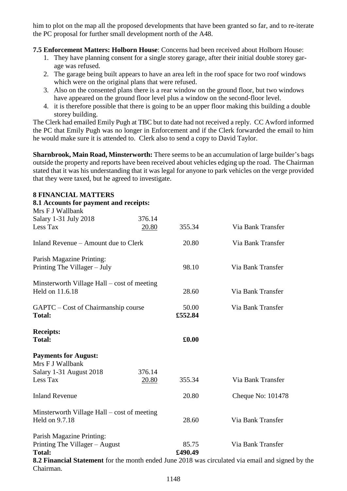him to plot on the map all the proposed developments that have been granted so far, and to re-iterate the PC proposal for further small development north of the A48.

**7.5 Enforcement Matters: Holborn House**: Concerns had been received about Holborn House:

- 1. They have planning consent for a single storey garage, after their initial double storey garage was refused.
- 2. The garage being built appears to have an area left in the roof space for two roof windows which were on the original plans that were refused.
- 3. Also on the consented plans there is a rear window on the ground floor, but two windows have appeared on the ground floor level plus a window on the second-floor level.
- 4. it is therefore possible that there is going to be an upper floor making this building a double storey building.

The Clerk had emailed Emily Pugh at TBC but to date had not received a reply. CC Awford informed the PC that Emily Pugh was no longer in Enforcement and if the Clerk forwarded the email to him he would make sure it is attended to. Clerk also to send a copy to David Taylor.

**Sharnbrook, Main Road, Minsterworth:** There seems to be an accumulation of large builder's bags outside the property and reports have been received about vehicles edging up the road. The Chairman stated that it was his understanding that it was legal for anyone to park vehicles on the verge provided that they were taxed, but he agreed to investigate.

#### **8 FINANCIAL MATTERS**

| 8.1 Accounts for payment and receipts:          |        |         |                                                                                                  |
|-------------------------------------------------|--------|---------|--------------------------------------------------------------------------------------------------|
| Mrs F J Wallbank<br>Salary 1-31 July 2018       | 376.14 |         |                                                                                                  |
| Less Tax                                        | 20.80  | 355.34  | Via Bank Transfer                                                                                |
| Inland Revenue – Amount due to Clerk            |        | 20.80   | Via Bank Transfer                                                                                |
| Parish Magazine Printing:                       |        |         |                                                                                                  |
| Printing The Villager - July                    |        | 98.10   | Via Bank Transfer                                                                                |
| Minsterworth Village Hall – cost of meeting     |        |         |                                                                                                  |
| Held on 11.6.18                                 |        | 28.60   | Via Bank Transfer                                                                                |
| GAPTC – Cost of Chairmanship course             |        | 50.00   | Via Bank Transfer                                                                                |
| <b>Total:</b>                                   |        | £552.84 |                                                                                                  |
| <b>Receipts:</b>                                |        |         |                                                                                                  |
| <b>Total:</b>                                   |        | £0.00   |                                                                                                  |
| <b>Payments for August:</b><br>Mrs F J Wallbank |        |         |                                                                                                  |
| Salary 1-31 August 2018                         | 376.14 |         |                                                                                                  |
| Less Tax                                        | 20.80  | 355.34  | Via Bank Transfer                                                                                |
| <b>Inland Revenue</b>                           |        | 20.80   | Cheque No: 101478                                                                                |
| Minsterworth Village Hall – cost of meeting     |        |         |                                                                                                  |
| Held on 9.7.18                                  |        | 28.60   | Via Bank Transfer                                                                                |
| Parish Magazine Printing:                       |        |         |                                                                                                  |
| Printing The Villager - August                  |        | 85.75   | Via Bank Transfer                                                                                |
| <b>Total:</b>                                   |        | £490.49 |                                                                                                  |
| Chairman.                                       |        |         | 8.2 Financial Statement for the month ended June 2018 was circulated via email and signed by the |